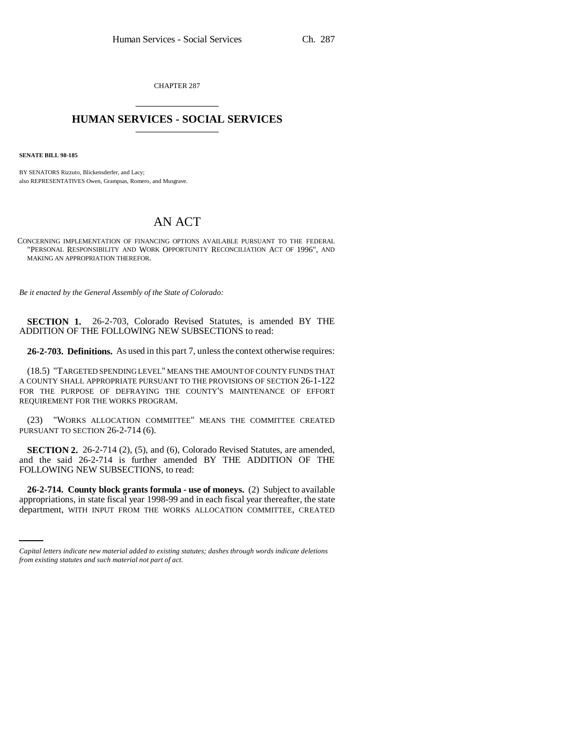CHAPTER 287 \_\_\_\_\_\_\_\_\_\_\_\_\_\_\_

## **HUMAN SERVICES - SOCIAL SERVICES** \_\_\_\_\_\_\_\_\_\_\_\_\_\_\_

**SENATE BILL 98-185**

BY SENATORS Rizzuto, Blickensderfer, and Lacy; also REPRESENTATIVES Owen, Grampsas, Romero, and Musgrave.

# AN ACT

CONCERNING IMPLEMENTATION OF FINANCING OPTIONS AVAILABLE PURSUANT TO THE FEDERAL "PERSONAL RESPONSIBILITY AND WORK OPPORTUNITY RECONCILIATION ACT OF 1996", AND MAKING AN APPROPRIATION THEREFOR.

*Be it enacted by the General Assembly of the State of Colorado:*

**SECTION 1.** 26-2-703, Colorado Revised Statutes, is amended BY THE ADDITION OF THE FOLLOWING NEW SUBSECTIONS to read:

**26-2-703. Definitions.** As used in this part 7, unless the context otherwise requires:

(18.5) "TARGETED SPENDING LEVEL" MEANS THE AMOUNT OF COUNTY FUNDS THAT A COUNTY SHALL APPROPRIATE PURSUANT TO THE PROVISIONS OF SECTION 26-1-122 FOR THE PURPOSE OF DEFRAYING THE COUNTY'S MAINTENANCE OF EFFORT REQUIREMENT FOR THE WORKS PROGRAM.

(23) "WORKS ALLOCATION COMMITTEE" MEANS THE COMMITTEE CREATED PURSUANT TO SECTION 26-2-714 (6).

**SECTION 2.** 26-2-714 (2), (5), and (6), Colorado Revised Statutes, are amended, and the said 26-2-714 is further amended BY THE ADDITION OF THE FOLLOWING NEW SUBSECTIONS, to read:

 **26-2-714. County block grants formula - use of moneys.** (2) Subject to available appropriations, in state fiscal year 1998-99 and in each fiscal year thereafter, the state department, WITH INPUT FROM THE WORKS ALLOCATION COMMITTEE, CREATED

*Capital letters indicate new material added to existing statutes; dashes through words indicate deletions from existing statutes and such material not part of act.*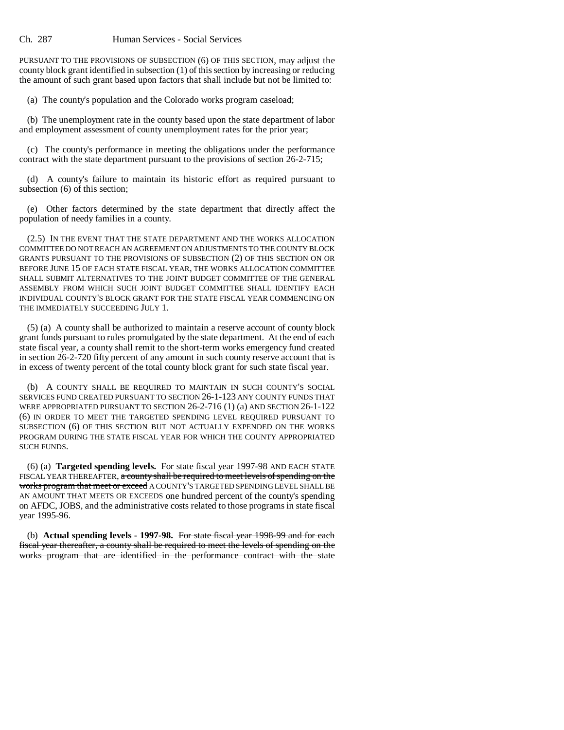PURSUANT TO THE PROVISIONS OF SUBSECTION (6) OF THIS SECTION, may adjust the county block grant identified in subsection (1) of this section by increasing or reducing the amount of such grant based upon factors that shall include but not be limited to:

(a) The county's population and the Colorado works program caseload;

(b) The unemployment rate in the county based upon the state department of labor and employment assessment of county unemployment rates for the prior year;

(c) The county's performance in meeting the obligations under the performance contract with the state department pursuant to the provisions of section 26-2-715;

(d) A county's failure to maintain its historic effort as required pursuant to subsection (6) of this section;

(e) Other factors determined by the state department that directly affect the population of needy families in a county.

(2.5) IN THE EVENT THAT THE STATE DEPARTMENT AND THE WORKS ALLOCATION COMMITTEE DO NOT REACH AN AGREEMENT ON ADJUSTMENTS TO THE COUNTY BLOCK GRANTS PURSUANT TO THE PROVISIONS OF SUBSECTION (2) OF THIS SECTION ON OR BEFORE JUNE 15 OF EACH STATE FISCAL YEAR, THE WORKS ALLOCATION COMMITTEE SHALL SUBMIT ALTERNATIVES TO THE JOINT BUDGET COMMITTEE OF THE GENERAL ASSEMBLY FROM WHICH SUCH JOINT BUDGET COMMITTEE SHALL IDENTIFY EACH INDIVIDUAL COUNTY'S BLOCK GRANT FOR THE STATE FISCAL YEAR COMMENCING ON THE IMMEDIATELY SUCCEEDING JULY 1.

(5) (a) A county shall be authorized to maintain a reserve account of county block grant funds pursuant to rules promulgated by the state department. At the end of each state fiscal year, a county shall remit to the short-term works emergency fund created in section 26-2-720 fifty percent of any amount in such county reserve account that is in excess of twenty percent of the total county block grant for such state fiscal year.

(b) A COUNTY SHALL BE REQUIRED TO MAINTAIN IN SUCH COUNTY'S SOCIAL SERVICES FUND CREATED PURSUANT TO SECTION 26-1-123 ANY COUNTY FUNDS THAT WERE APPROPRIATED PURSUANT TO SECTION 26-2-716 (1) (a) AND SECTION 26-1-122 (6) IN ORDER TO MEET THE TARGETED SPENDING LEVEL REQUIRED PURSUANT TO SUBSECTION (6) OF THIS SECTION BUT NOT ACTUALLY EXPENDED ON THE WORKS PROGRAM DURING THE STATE FISCAL YEAR FOR WHICH THE COUNTY APPROPRIATED SUCH FUNDS.

(6) (a) **Targeted spending levels.** For state fiscal year 1997-98 AND EACH STATE FISCAL YEAR THEREAFTER, a county shall be required to meet levels of spending on the works program that meet or exceed A COUNTY'S TARGETED SPENDING LEVEL SHALL BE AN AMOUNT THAT MEETS OR EXCEEDS one hundred percent of the county's spending on AFDC, JOBS, and the administrative costs related to those programs in state fiscal year 1995-96.

(b) **Actual spending levels - 1997-98.** For state fiscal year 1998-99 and for each fiscal year thereafter, a county shall be required to meet the levels of spending on the works program that are identified in the performance contract with the state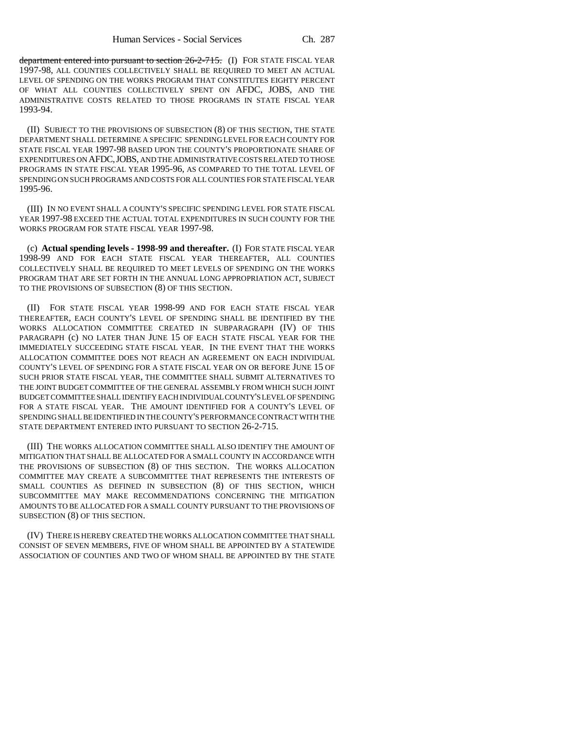department entered into pursuant to section  $26-2-715$ . (I) FOR STATE FISCAL YEAR 1997-98, ALL COUNTIES COLLECTIVELY SHALL BE REQUIRED TO MEET AN ACTUAL LEVEL OF SPENDING ON THE WORKS PROGRAM THAT CONSTITUTES EIGHTY PERCENT OF WHAT ALL COUNTIES COLLECTIVELY SPENT ON AFDC, JOBS, AND THE ADMINISTRATIVE COSTS RELATED TO THOSE PROGRAMS IN STATE FISCAL YEAR 1993-94.

(II) SUBJECT TO THE PROVISIONS OF SUBSECTION (8) OF THIS SECTION, THE STATE DEPARTMENT SHALL DETERMINE A SPECIFIC SPENDING LEVEL FOR EACH COUNTY FOR STATE FISCAL YEAR 1997-98 BASED UPON THE COUNTY'S PROPORTIONATE SHARE OF EXPENDITURES ON AFDC,JOBS, AND THE ADMINISTRATIVE COSTS RELATED TO THOSE PROGRAMS IN STATE FISCAL YEAR 1995-96, AS COMPARED TO THE TOTAL LEVEL OF SPENDING ON SUCH PROGRAMS AND COSTS FOR ALL COUNTIES FOR STATE FISCAL YEAR 1995-96.

(III) IN NO EVENT SHALL A COUNTY'S SPECIFIC SPENDING LEVEL FOR STATE FISCAL YEAR 1997-98 EXCEED THE ACTUAL TOTAL EXPENDITURES IN SUCH COUNTY FOR THE WORKS PROGRAM FOR STATE FISCAL YEAR 1997-98.

(c) **Actual spending levels - 1998-99 and thereafter.** (I) FOR STATE FISCAL YEAR 1998-99 AND FOR EACH STATE FISCAL YEAR THEREAFTER, ALL COUNTIES COLLECTIVELY SHALL BE REQUIRED TO MEET LEVELS OF SPENDING ON THE WORKS PROGRAM THAT ARE SET FORTH IN THE ANNUAL LONG APPROPRIATION ACT, SUBJECT TO THE PROVISIONS OF SUBSECTION (8) OF THIS SECTION.

(II) FOR STATE FISCAL YEAR 1998-99 AND FOR EACH STATE FISCAL YEAR THEREAFTER, EACH COUNTY'S LEVEL OF SPENDING SHALL BE IDENTIFIED BY THE WORKS ALLOCATION COMMITTEE CREATED IN SUBPARAGRAPH (IV) OF THIS PARAGRAPH (c) NO LATER THAN JUNE 15 OF EACH STATE FISCAL YEAR FOR THE IMMEDIATELY SUCCEEDING STATE FISCAL YEAR. IN THE EVENT THAT THE WORKS ALLOCATION COMMITTEE DOES NOT REACH AN AGREEMENT ON EACH INDIVIDUAL COUNTY'S LEVEL OF SPENDING FOR A STATE FISCAL YEAR ON OR BEFORE JUNE 15 OF SUCH PRIOR STATE FISCAL YEAR, THE COMMITTEE SHALL SUBMIT ALTERNATIVES TO THE JOINT BUDGET COMMITTEE OF THE GENERAL ASSEMBLY FROM WHICH SUCH JOINT BUDGET COMMITTEE SHALL IDENTIFY EACH INDIVIDUAL COUNTY'S LEVEL OF SPENDING FOR A STATE FISCAL YEAR. THE AMOUNT IDENTIFIED FOR A COUNTY'S LEVEL OF SPENDING SHALL BE IDENTIFIED IN THE COUNTY'S PERFORMANCE CONTRACT WITH THE STATE DEPARTMENT ENTERED INTO PURSUANT TO SECTION 26-2-715.

(III) THE WORKS ALLOCATION COMMITTEE SHALL ALSO IDENTIFY THE AMOUNT OF MITIGATION THAT SHALL BE ALLOCATED FOR A SMALL COUNTY IN ACCORDANCE WITH THE PROVISIONS OF SUBSECTION (8) OF THIS SECTION. THE WORKS ALLOCATION COMMITTEE MAY CREATE A SUBCOMMITTEE THAT REPRESENTS THE INTERESTS OF SMALL COUNTIES AS DEFINED IN SUBSECTION (8) OF THIS SECTION, WHICH SUBCOMMITTEE MAY MAKE RECOMMENDATIONS CONCERNING THE MITIGATION AMOUNTS TO BE ALLOCATED FOR A SMALL COUNTY PURSUANT TO THE PROVISIONS OF SUBSECTION (8) OF THIS SECTION.

(IV) THERE IS HEREBY CREATED THE WORKS ALLOCATION COMMITTEE THAT SHALL CONSIST OF SEVEN MEMBERS, FIVE OF WHOM SHALL BE APPOINTED BY A STATEWIDE ASSOCIATION OF COUNTIES AND TWO OF WHOM SHALL BE APPOINTED BY THE STATE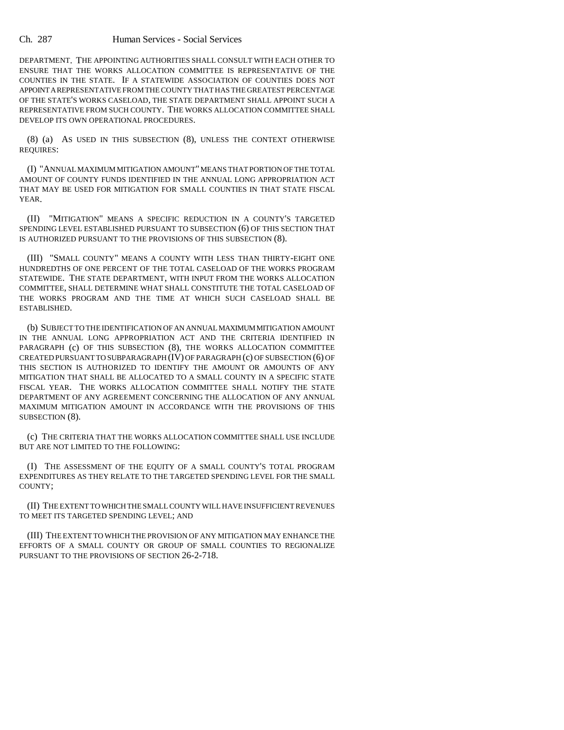DEPARTMENT. THE APPOINTING AUTHORITIES SHALL CONSULT WITH EACH OTHER TO ENSURE THAT THE WORKS ALLOCATION COMMITTEE IS REPRESENTATIVE OF THE COUNTIES IN THE STATE. IF A STATEWIDE ASSOCIATION OF COUNTIES DOES NOT APPOINT A REPRESENTATIVE FROM THE COUNTY THAT HAS THE GREATEST PERCENTAGE OF THE STATE'S WORKS CASELOAD, THE STATE DEPARTMENT SHALL APPOINT SUCH A REPRESENTATIVE FROM SUCH COUNTY. THE WORKS ALLOCATION COMMITTEE SHALL DEVELOP ITS OWN OPERATIONAL PROCEDURES.

(8) (a) AS USED IN THIS SUBSECTION (8), UNLESS THE CONTEXT OTHERWISE REQUIRES:

(I) "ANNUAL MAXIMUM MITIGATION AMOUNT" MEANS THAT PORTION OF THE TOTAL AMOUNT OF COUNTY FUNDS IDENTIFIED IN THE ANNUAL LONG APPROPRIATION ACT THAT MAY BE USED FOR MITIGATION FOR SMALL COUNTIES IN THAT STATE FISCAL YEAR.

(II) "MITIGATION" MEANS A SPECIFIC REDUCTION IN A COUNTY'S TARGETED SPENDING LEVEL ESTABLISHED PURSUANT TO SUBSECTION (6) OF THIS SECTION THAT IS AUTHORIZED PURSUANT TO THE PROVISIONS OF THIS SUBSECTION (8).

(III) "SMALL COUNTY" MEANS A COUNTY WITH LESS THAN THIRTY-EIGHT ONE HUNDREDTHS OF ONE PERCENT OF THE TOTAL CASELOAD OF THE WORKS PROGRAM STATEWIDE. THE STATE DEPARTMENT, WITH INPUT FROM THE WORKS ALLOCATION COMMITTEE, SHALL DETERMINE WHAT SHALL CONSTITUTE THE TOTAL CASELOAD OF THE WORKS PROGRAM AND THE TIME AT WHICH SUCH CASELOAD SHALL BE ESTABLISHED.

(b) SUBJECT TO THE IDENTIFICATION OF AN ANNUAL MAXIMUM MITIGATION AMOUNT IN THE ANNUAL LONG APPROPRIATION ACT AND THE CRITERIA IDENTIFIED IN PARAGRAPH (c) OF THIS SUBSECTION (8), THE WORKS ALLOCATION COMMITTEE CREATED PURSUANT TO SUBPARAGRAPH (IV) OF PARAGRAPH (c) OF SUBSECTION (6) OF THIS SECTION IS AUTHORIZED TO IDENTIFY THE AMOUNT OR AMOUNTS OF ANY MITIGATION THAT SHALL BE ALLOCATED TO A SMALL COUNTY IN A SPECIFIC STATE FISCAL YEAR. THE WORKS ALLOCATION COMMITTEE SHALL NOTIFY THE STATE DEPARTMENT OF ANY AGREEMENT CONCERNING THE ALLOCATION OF ANY ANNUAL MAXIMUM MITIGATION AMOUNT IN ACCORDANCE WITH THE PROVISIONS OF THIS SUBSECTION (8).

(c) THE CRITERIA THAT THE WORKS ALLOCATION COMMITTEE SHALL USE INCLUDE BUT ARE NOT LIMITED TO THE FOLLOWING:

(I) THE ASSESSMENT OF THE EQUITY OF A SMALL COUNTY'S TOTAL PROGRAM EXPENDITURES AS THEY RELATE TO THE TARGETED SPENDING LEVEL FOR THE SMALL COUNTY;

(II) THE EXTENT TO WHICH THE SMALL COUNTY WILL HAVE INSUFFICIENT REVENUES TO MEET ITS TARGETED SPENDING LEVEL; AND

(III) THE EXTENT TO WHICH THE PROVISION OF ANY MITIGATION MAY ENHANCE THE EFFORTS OF A SMALL COUNTY OR GROUP OF SMALL COUNTIES TO REGIONALIZE PURSUANT TO THE PROVISIONS OF SECTION 26-2-718.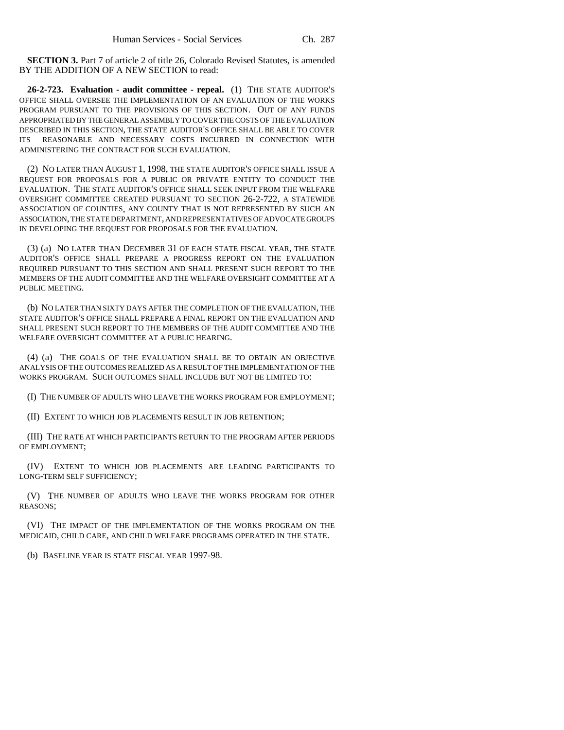**SECTION 3.** Part 7 of article 2 of title 26, Colorado Revised Statutes, is amended BY THE ADDITION OF A NEW SECTION to read:

**26-2-723. Evaluation - audit committee - repeal.** (1) THE STATE AUDITOR'S OFFICE SHALL OVERSEE THE IMPLEMENTATION OF AN EVALUATION OF THE WORKS PROGRAM PURSUANT TO THE PROVISIONS OF THIS SECTION. OUT OF ANY FUNDS APPROPRIATED BY THE GENERAL ASSEMBLY TO COVER THE COSTS OF THE EVALUATION DESCRIBED IN THIS SECTION, THE STATE AUDITOR'S OFFICE SHALL BE ABLE TO COVER ITS REASONABLE AND NECESSARY COSTS INCURRED IN CONNECTION WITH ADMINISTERING THE CONTRACT FOR SUCH EVALUATION.

(2) NO LATER THAN AUGUST 1, 1998, THE STATE AUDITOR'S OFFICE SHALL ISSUE A REQUEST FOR PROPOSALS FOR A PUBLIC OR PRIVATE ENTITY TO CONDUCT THE EVALUATION. THE STATE AUDITOR'S OFFICE SHALL SEEK INPUT FROM THE WELFARE OVERSIGHT COMMITTEE CREATED PURSUANT TO SECTION 26-2-722, A STATEWIDE ASSOCIATION OF COUNTIES, ANY COUNTY THAT IS NOT REPRESENTED BY SUCH AN ASSOCIATION, THE STATE DEPARTMENT, AND REPRESENTATIVES OF ADVOCATE GROUPS IN DEVELOPING THE REQUEST FOR PROPOSALS FOR THE EVALUATION.

(3) (a) NO LATER THAN DECEMBER 31 OF EACH STATE FISCAL YEAR, THE STATE AUDITOR'S OFFICE SHALL PREPARE A PROGRESS REPORT ON THE EVALUATION REQUIRED PURSUANT TO THIS SECTION AND SHALL PRESENT SUCH REPORT TO THE MEMBERS OF THE AUDIT COMMITTEE AND THE WELFARE OVERSIGHT COMMITTEE AT A PUBLIC MEETING.

(b) NO LATER THAN SIXTY DAYS AFTER THE COMPLETION OF THE EVALUATION, THE STATE AUDITOR'S OFFICE SHALL PREPARE A FINAL REPORT ON THE EVALUATION AND SHALL PRESENT SUCH REPORT TO THE MEMBERS OF THE AUDIT COMMITTEE AND THE WELFARE OVERSIGHT COMMITTEE AT A PUBLIC HEARING.

(4) (a) THE GOALS OF THE EVALUATION SHALL BE TO OBTAIN AN OBJECTIVE ANALYSIS OF THE OUTCOMES REALIZED AS A RESULT OF THE IMPLEMENTATION OF THE WORKS PROGRAM. SUCH OUTCOMES SHALL INCLUDE BUT NOT BE LIMITED TO:

(I) THE NUMBER OF ADULTS WHO LEAVE THE WORKS PROGRAM FOR EMPLOYMENT;

(II) EXTENT TO WHICH JOB PLACEMENTS RESULT IN JOB RETENTION;

(III) THE RATE AT WHICH PARTICIPANTS RETURN TO THE PROGRAM AFTER PERIODS OF EMPLOYMENT;

(IV) EXTENT TO WHICH JOB PLACEMENTS ARE LEADING PARTICIPANTS TO LONG-TERM SELF SUFFICIENCY;

(V) THE NUMBER OF ADULTS WHO LEAVE THE WORKS PROGRAM FOR OTHER REASONS;

(VI) THE IMPACT OF THE IMPLEMENTATION OF THE WORKS PROGRAM ON THE MEDICAID, CHILD CARE, AND CHILD WELFARE PROGRAMS OPERATED IN THE STATE.

(b) BASELINE YEAR IS STATE FISCAL YEAR 1997-98.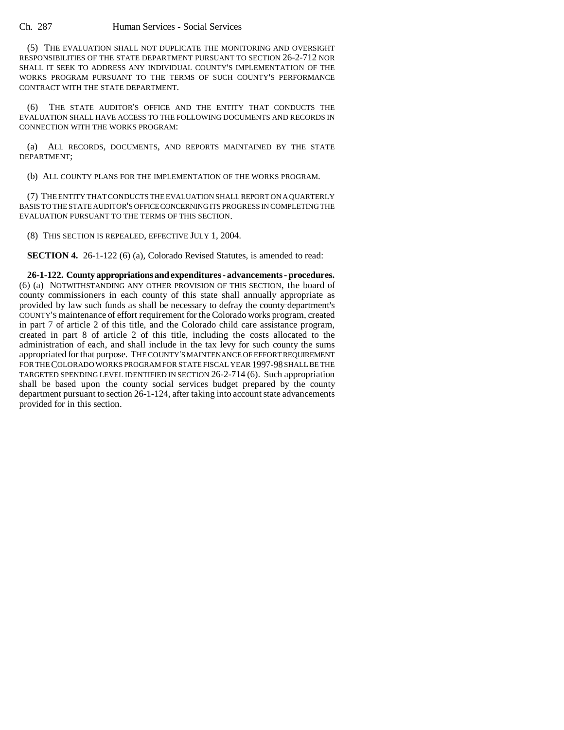(5) THE EVALUATION SHALL NOT DUPLICATE THE MONITORING AND OVERSIGHT RESPONSIBILITIES OF THE STATE DEPARTMENT PURSUANT TO SECTION 26-2-712 NOR SHALL IT SEEK TO ADDRESS ANY INDIVIDUAL COUNTY'S IMPLEMENTATION OF THE WORKS PROGRAM PURSUANT TO THE TERMS OF SUCH COUNTY'S PERFORMANCE CONTRACT WITH THE STATE DEPARTMENT.

(6) THE STATE AUDITOR'S OFFICE AND THE ENTITY THAT CONDUCTS THE EVALUATION SHALL HAVE ACCESS TO THE FOLLOWING DOCUMENTS AND RECORDS IN CONNECTION WITH THE WORKS PROGRAM:

(a) ALL RECORDS, DOCUMENTS, AND REPORTS MAINTAINED BY THE STATE DEPARTMENT;

(b) ALL COUNTY PLANS FOR THE IMPLEMENTATION OF THE WORKS PROGRAM.

(7) THE ENTITY THAT CONDUCTS THE EVALUATION SHALL REPORT ON A QUARTERLY BASIS TO THE STATE AUDITOR'S OFFICE CONCERNING ITS PROGRESS IN COMPLETING THE EVALUATION PURSUANT TO THE TERMS OF THIS SECTION.

(8) THIS SECTION IS REPEALED, EFFECTIVE JULY 1, 2004.

**SECTION 4.** 26-1-122 (6) (a), Colorado Revised Statutes, is amended to read:

**26-1-122. County appropriations and expenditures - advancements - procedures.** (6) (a) NOTWITHSTANDING ANY OTHER PROVISION OF THIS SECTION, the board of county commissioners in each county of this state shall annually appropriate as provided by law such funds as shall be necessary to defray the county department's COUNTY'S maintenance of effort requirement for the Colorado works program, created in part 7 of article 2 of this title, and the Colorado child care assistance program, created in part 8 of article 2 of this title, including the costs allocated to the administration of each, and shall include in the tax levy for such county the sums appropriated for that purpose. THE COUNTY'S MAINTENANCE OF EFFORT REQUIREMENT FOR THE COLORADO WORKS PROGRAM FOR STATE FISCAL YEAR 1997-98 SHALL BE THE TARGETED SPENDING LEVEL IDENTIFIED IN SECTION 26-2-714 (6). Such appropriation shall be based upon the county social services budget prepared by the county department pursuant to section 26-1-124, after taking into account state advancements provided for in this section.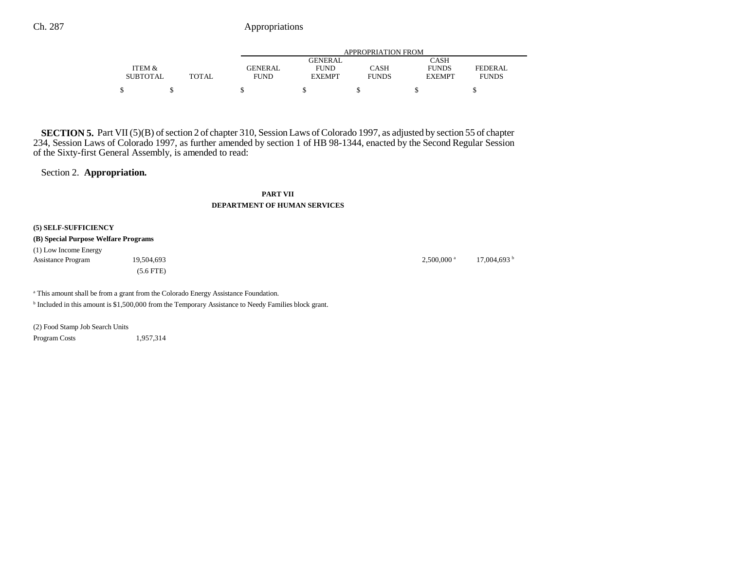|                 |              | APPROPRIATION FROM |                |              |               |              |  |
|-----------------|--------------|--------------------|----------------|--------------|---------------|--------------|--|
|                 |              |                    | <b>GENERAL</b> |              | CASH          |              |  |
| ITEM &          |              | GENERAL            | <b>FUND</b>    | CASH         | <b>FUNDS</b>  | FEDERAL      |  |
| <b>SUBTOTAL</b> | <b>TOTAL</b> | <b>FUND</b>        | <b>EXEMPT</b>  | <b>FUNDS</b> | <b>EXEMPT</b> | <b>FUNDS</b> |  |
|                 |              |                    |                |              |               |              |  |

**SECTION 5.** Part VII (5)(B) of section 2 of chapter 310, Session Laws of Colorado 1997, as adjusted by section 55 of chapter 234, Session Laws of Colorado 1997, as further amended by section 1 of HB 98-1344, enacted by the Second Regular Session of the Sixty-first General Assembly, is amended to read:

# Section 2. **Appropriation.**

**PART VII**

### **DEPARTMENT OF HUMAN SERVICES**

**(5) SELF-SUFFICIENCY**

**(B) Special Purpose Welfare Programs**

(1) Low Income Energy Assistance Program 19,504,693 19,504,693 **2,500,000** 17,004,693 **b** 2,500,000 **a** 17,004,693 **b** (5.6 FTE)

<sup>a</sup> This amount shall be from a grant from the Colorado Energy Assistance Foundation.

b Included in this amount is \$1,500,000 from the Temporary Assistance to Needy Families block grant.

(2) Food Stamp Job Search Units Program Costs 1,957,314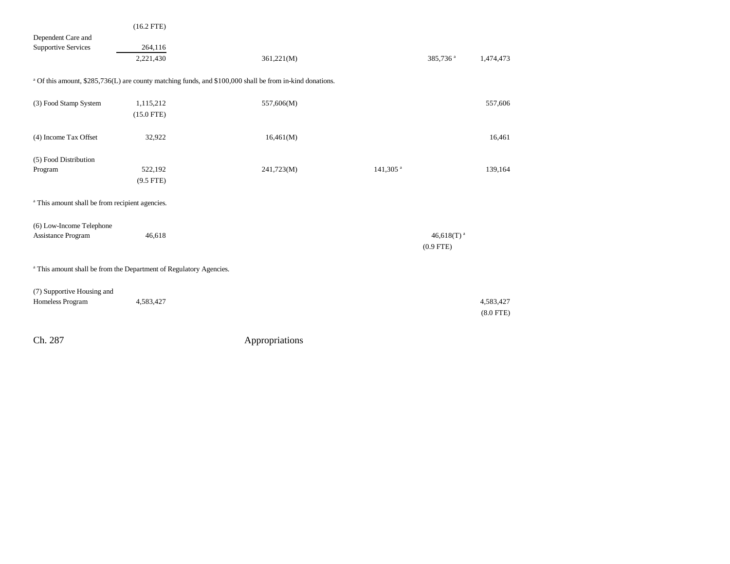|                                                                               | $(16.2$ FTE)                                                                                                        |            |                      |                                       |             |  |  |
|-------------------------------------------------------------------------------|---------------------------------------------------------------------------------------------------------------------|------------|----------------------|---------------------------------------|-------------|--|--|
| Dependent Care and<br><b>Supportive Services</b>                              | 264,116                                                                                                             |            |                      |                                       |             |  |  |
|                                                                               | 2,221,430                                                                                                           | 361,221(M) |                      | 385,736 <sup>a</sup>                  | 1,474,473   |  |  |
|                                                                               | <sup>a</sup> Of this amount, \$285,736(L) are county matching funds, and \$100,000 shall be from in-kind donations. |            |                      |                                       |             |  |  |
| (3) Food Stamp System                                                         | 1,115,212<br>$(15.0$ FTE)                                                                                           | 557,606(M) |                      |                                       | 557,606     |  |  |
| (4) Income Tax Offset                                                         | 32,922                                                                                                              | 16,461(M)  |                      |                                       | 16,461      |  |  |
| (5) Food Distribution                                                         |                                                                                                                     |            |                      |                                       |             |  |  |
| Program                                                                       | 522,192<br>$(9.5$ FTE)                                                                                              | 241,723(M) | 141,305 <sup>a</sup> |                                       | 139,164     |  |  |
| <sup>a</sup> This amount shall be from recipient agencies.                    |                                                                                                                     |            |                      |                                       |             |  |  |
|                                                                               |                                                                                                                     |            |                      |                                       |             |  |  |
| (6) Low-Income Telephone                                                      |                                                                                                                     |            |                      |                                       |             |  |  |
| Assistance Program                                                            | 46,618                                                                                                              |            |                      | 46,618(T) <sup>a</sup><br>$(0.9$ FTE) |             |  |  |
| <sup>a</sup> This amount shall be from the Department of Regulatory Agencies. |                                                                                                                     |            |                      |                                       |             |  |  |
| (7) Supportive Housing and                                                    |                                                                                                                     |            |                      |                                       |             |  |  |
| Homeless Program                                                              | 4,583,427                                                                                                           |            |                      |                                       | 4,583,427   |  |  |
|                                                                               |                                                                                                                     |            |                      |                                       | $(8.0$ FTE) |  |  |
|                                                                               |                                                                                                                     |            |                      |                                       |             |  |  |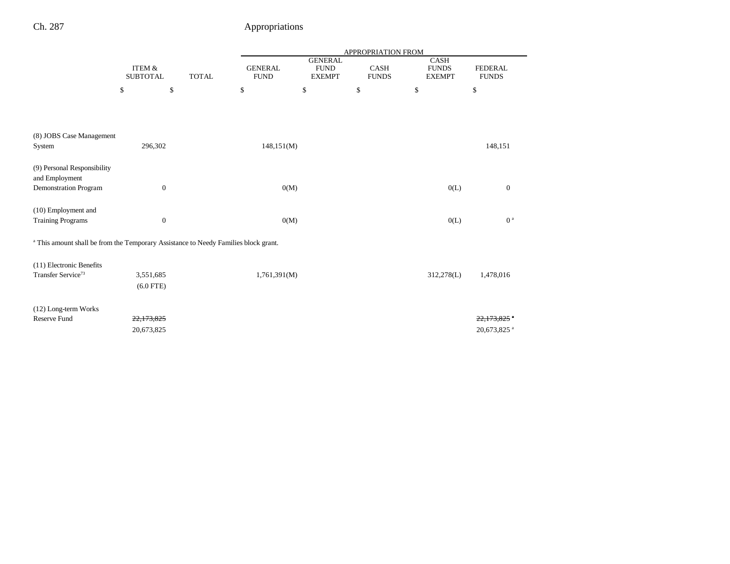|                                                                                                |                                      |              | APPROPRIATION FROM            |                                                |                             |                                              |                                       |  |
|------------------------------------------------------------------------------------------------|--------------------------------------|--------------|-------------------------------|------------------------------------------------|-----------------------------|----------------------------------------------|---------------------------------------|--|
|                                                                                                | <b>ITEM &amp;</b><br><b>SUBTOTAL</b> | <b>TOTAL</b> | <b>GENERAL</b><br><b>FUND</b> | <b>GENERAL</b><br><b>FUND</b><br><b>EXEMPT</b> | <b>CASH</b><br><b>FUNDS</b> | <b>CASH</b><br><b>FUNDS</b><br><b>EXEMPT</b> | <b>FEDERAL</b><br><b>FUNDS</b>        |  |
|                                                                                                | \$                                   | \$           | \$                            | \$                                             | \$                          | \$                                           | \$                                    |  |
|                                                                                                |                                      |              |                               |                                                |                             |                                              |                                       |  |
| (8) JOBS Case Management<br>System                                                             | 296,302                              |              | 148,151(M)                    |                                                |                             |                                              | 148,151                               |  |
| (9) Personal Responsibility<br>and Employment<br>Demonstration Program                         | $\boldsymbol{0}$                     |              | 0(M)                          |                                                |                             | 0(L)                                         | $\mathbf{0}$                          |  |
| (10) Employment and<br><b>Training Programs</b>                                                | $\boldsymbol{0}$                     |              | 0(M)                          |                                                |                             | 0(L)                                         | 0 <sup>a</sup>                        |  |
| <sup>a</sup> This amount shall be from the Temporary Assistance to Needy Families block grant. |                                      |              |                               |                                                |                             |                                              |                                       |  |
| (11) Electronic Benefits<br>Transfer Service <sup>73</sup>                                     | 3,551,685<br>$(6.0$ FTE)             |              | 1,761,391(M)                  |                                                |                             | 312,278(L)                                   | 1,478,016                             |  |
| (12) Long-term Works<br>Reserve Fund                                                           | 22,173,825<br>20,673,825             |              |                               |                                                |                             |                                              | 22.173.825<br>20,673,825 <sup>a</sup> |  |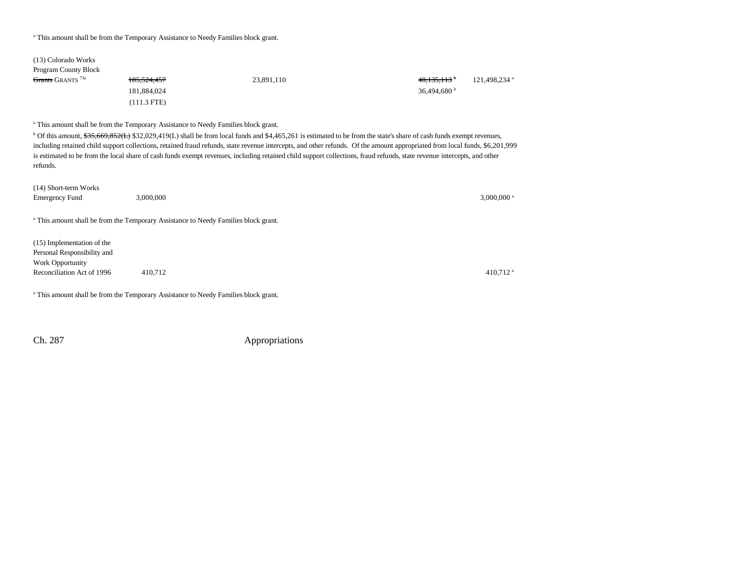### <sup>a</sup> This amount shall be from the Temporary Assistance to Needy Families block grant.

| (13) Colorado Works          |               |            |                       |                          |
|------------------------------|---------------|------------|-----------------------|--------------------------|
| <b>Program County Block</b>  |               |            |                       |                          |
| Grants GRANTS <sup>73a</sup> | 185, 524, 457 | 23,891,110 | 40,135,113            | 121,498,234 <sup>a</sup> |
|                              | 181.884.024   |            | 36.494.680 $^{\rm b}$ |                          |
|                              | $(111.3$ FTE) |            |                       |                          |

<sup>a</sup> This amount shall be from the Temporary Assistance to Needy Families block grant.

<sup>b</sup> Of this amount, \$35,669,852(L) \$32,029,419(L) shall be from local funds and \$4,465,261 is estimated to be from the state's share of cash funds exempt revenues, including retained child support collections, retained fraud refunds, state revenue intercepts, and other refunds. Of the amount appropriated from local funds, \$6,201,999 is estimated to be from the local share of cash funds exempt revenues, including retained child support collections, fraud refunds, state revenue intercepts, and other refunds.

| (14) Short-term Works       |                                                                                                |                          |
|-----------------------------|------------------------------------------------------------------------------------------------|--------------------------|
| <b>Emergency Fund</b>       | 3,000,000                                                                                      | $3,000,000$ <sup>a</sup> |
|                             |                                                                                                |                          |
|                             | <sup>a</sup> This amount shall be from the Temporary Assistance to Needy Families block grant. |                          |
|                             |                                                                                                |                          |
| (15) Implementation of the  |                                                                                                |                          |
| Personal Responsibility and |                                                                                                |                          |
| Work Opportunity            |                                                                                                |                          |
| Reconciliation Act of 1996  | 410,712                                                                                        | $410,712$ <sup>a</sup>   |
|                             |                                                                                                |                          |

<sup>a</sup> This amount shall be from the Temporary Assistance to Needy Families block grant.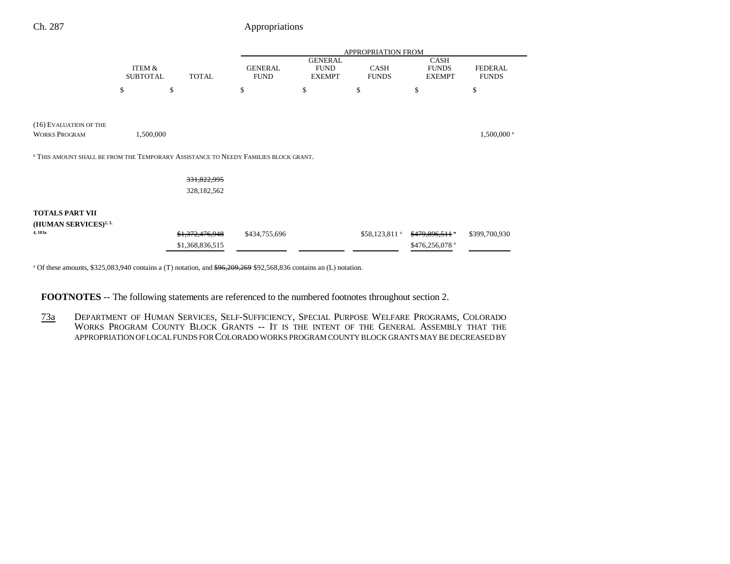|                                                                                                |                 |                 | APPROPRIATION FROM |                               |                           |                             |                        |
|------------------------------------------------------------------------------------------------|-----------------|-----------------|--------------------|-------------------------------|---------------------------|-----------------------------|------------------------|
|                                                                                                | ITEM &          |                 | <b>GENERAL</b>     | <b>GENERAL</b><br><b>FUND</b> | CASH                      | <b>CASH</b><br><b>FUNDS</b> | <b>FEDERAL</b>         |
|                                                                                                | <b>SUBTOTAL</b> | <b>TOTAL</b>    | <b>FUND</b>        | <b>EXEMPT</b>                 | <b>FUNDS</b>              | <b>EXEMPT</b>               | <b>FUNDS</b>           |
|                                                                                                | \$              | \$              | \$                 | \$                            | \$                        | \$                          | \$                     |
|                                                                                                |                 |                 |                    |                               |                           |                             |                        |
| (16) EVALUATION OF THE                                                                         |                 |                 |                    |                               |                           |                             |                        |
| <b>WORKS PROGRAM</b>                                                                           | 1,500,000       |                 |                    |                               |                           |                             | 1,500,000 <sup>a</sup> |
| <sup>a</sup> THIS AMOUNT SHALL BE FROM THE TEMPORARY ASSISTANCE TO NEEDY FAMILIES BLOCK GRANT. |                 |                 |                    |                               |                           |                             |                        |
|                                                                                                |                 |                 |                    |                               |                           |                             |                        |
|                                                                                                |                 | 331,822,995     |                    |                               |                           |                             |                        |
|                                                                                                |                 | 328,182,562     |                    |                               |                           |                             |                        |
| <b>TOTALS PART VII</b>                                                                         |                 |                 |                    |                               |                           |                             |                        |
| (HUMAN SERVICES) <sup>2, 3,</sup>                                                              |                 |                 |                    |                               |                           |                             |                        |
| 4, 103a                                                                                        |                 | \$1,372,476,948 | \$434,755,696      |                               | \$58,123,811 <sup>a</sup> | $$479,896,511$ *            | \$399,700,930          |
|                                                                                                |                 | \$1,368,836,515 |                    |                               |                           | \$476,256,078 <sup>a</sup>  |                        |

<sup>a</sup> Of these amounts, \$325,083,940 contains a (T) notation, and <del>\$96,209,269</del> \$92,568,836 contains an (L) notation.

**FOOTNOTES** -- The following statements are referenced to the numbered footnotes throughout section 2.

73a DEPARTMENT OF HUMAN SERVICES, SELF-SUFFICIENCY, SPECIAL PURPOSE WELFARE PROGRAMS, COLORADO WORKS PROGRAM COUNTY BLOCK GRANTS -- IT IS THE INTENT OF THE GENERAL ASSEMBLY THAT THE APPROPRIATION OF LOCAL FUNDS FOR COLORADO WORKS PROGRAM COUNTY BLOCK GRANTS MAY BE DECREASED BY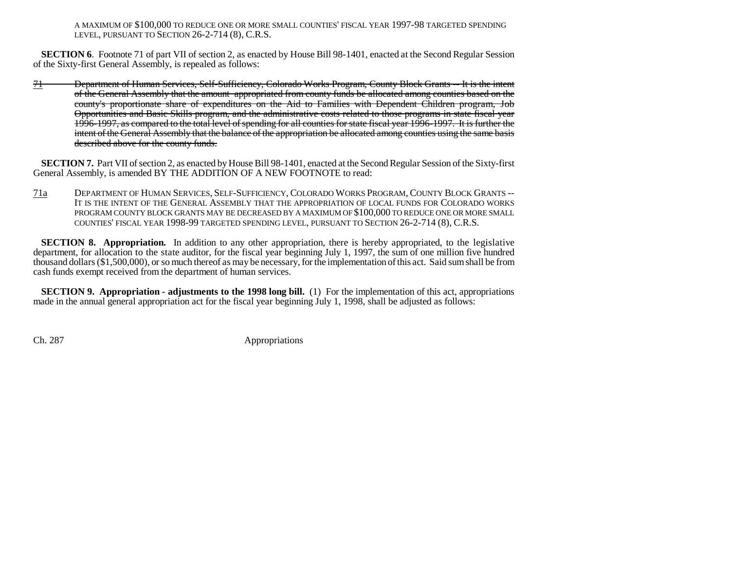A MAXIMUM OF \$100,000 TO REDUCE ONE OR MORE SMALL COUNTIES' FISCAL YEAR 1997-98 TARGETED SPENDING LEVEL, PURSUANT TO SECTION 26-2-714 (8), C.R.S.

**SECTION 6.** Footnote 71 of part VII of section 2, as enacted by House Bill 98-1401, enacted at the Second Regular Session of the Sixty-first General Assembly, is repealed as follows:

71 Department of Human Services, Self-Sufficiency, Colorado Works Program, County Block Grants -- It is the intent of the General Assembly that the amount appropriated from county funds be allocated among counties based on the county's proportionate share of expenditures on the Aid to Families with Dependent Children program, Job Opportunities and Basic Skills program, and the administrative costs related to those programs in state fiscal year 1996-1997, as compared to the total level of spending for all counties for state fiscal year 1996-1997. It is further the intent of the General Assembly that the balance of the appropriation be allocated among counties using the same basis described above for the county funds.

**SECTION 7.** Part VII of section 2, as enacted by House Bill 98-1401, enacted at the Second Regular Session of the Sixty-first General Assembly, is amended BY THE ADDITION OF A NEW FOOTNOTE to read:

71a DEPARTMENT OF HUMAN SERVICES, SELF-SUFFICIENCY, COLORADO WORKS PROGRAM, COUNTY BLOCK GRANTS --It is the intent of the General Assembly that the appropriation of local funds for Colorado works PROGRAM COUNTY BLOCK GRANTS MAY BE DECREASED BY A MAXIMUM OF \$100,000 TO REDUCE ONE OR MORE SMALL COUNTIES' FISCAL YEAR 1998-99 TARGETED SPENDING LEVEL, PURSUANT TO SECTION 26-2-714 (8), C.R.S.

**SECTION 8. Appropriation.** In addition to any other appropriation, there is hereby appropriated, to the legislative department, for allocation to the state auditor, for the fiscal year beginning July 1, 1997, the sum of one million five hundred thousand dollars (\$1,500,000), or so much thereof as may be necessary, for the implementation of this act. Said sum shall be from cash funds exempt received from the department of human services.

**SECTION 9. Appropriation - adjustments to the 1998 long bill.** (1) For the implementation of this act, appropriations made in the annual general appropriation act for the fiscal year beginning July 1, 1998, shall be adjusted as follows: